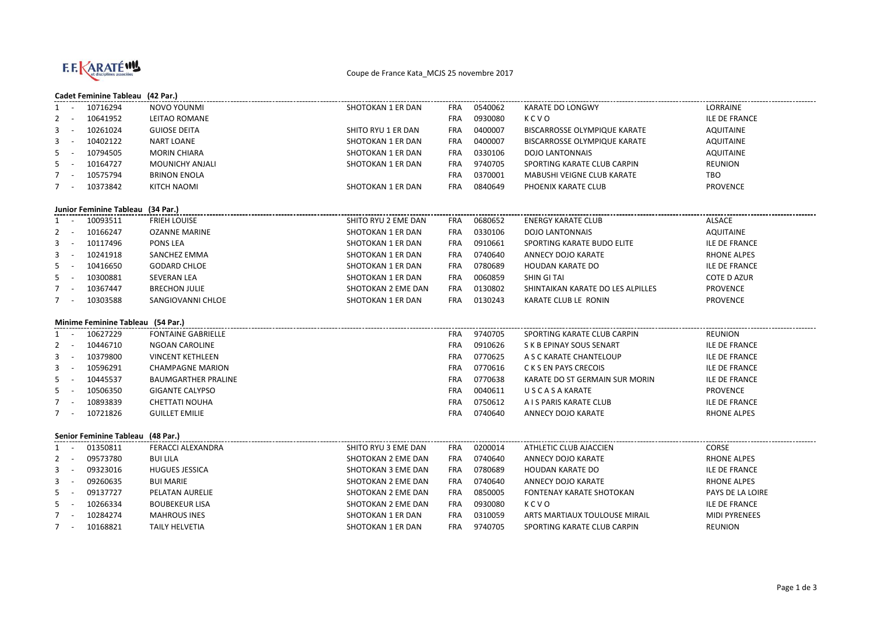

## Coupe de France Kata\_MCJS 25 novembre 2017

## **Cadet Feminine Tableau (42 Par.)**

| 1                                 |            | 10716294                          | NOVO YOUNMI                | SHOTOKAN 1 ER DAN   | FRA        | 0540062            | KARATE DO LONGWY                  | LORRAINE                               |  |  |
|-----------------------------------|------------|-----------------------------------|----------------------------|---------------------|------------|--------------------|-----------------------------------|----------------------------------------|--|--|
| $\mathbf{2}$                      |            | 10641952                          | LEITAO ROMANE              |                     | FRA        | 0930080            | KCVO                              | <b>ILE DE FRANCE</b>                   |  |  |
| 3                                 |            | 10261024                          | <b>GUIOSE DEITA</b>        | SHITO RYU 1 ER DAN  | FRA        | 0400007            | BISCARROSSE OLYMPIQUE KARATE      | <b>AQUITAINE</b>                       |  |  |
| 3                                 |            | 10402122                          | <b>NART LOANE</b>          | SHOTOKAN 1 ER DAN   | <b>FRA</b> | 0400007            | BISCARROSSE OLYMPIQUE KARATE      | <b>AQUITAINE</b>                       |  |  |
| 5                                 | $\sim$     | 10794505                          | <b>MORIN CHIARA</b>        | SHOTOKAN 1 ER DAN   | FRA        | 0330106            | <b>DOJO LANTONNAIS</b>            | <b>AQUITAINE</b>                       |  |  |
| 5                                 | $\sim$ $-$ | 10164727                          | <b>MOUNICHY ANJALI</b>     | SHOTOKAN 1 ER DAN   | FRA        | 9740705            | SPORTING KARATE CLUB CARPIN       | <b>REUNION</b>                         |  |  |
| 7                                 | $\sim$ $-$ | 10575794                          | <b>BRINON ENOLA</b>        |                     | FRA        | 0370001            | MABUSHI VEIGNE CLUB KARATE        | TBO                                    |  |  |
| $7 -$                             |            | 10373842                          | <b>KITCH NAOMI</b>         | SHOTOKAN 1 ER DAN   | FRA        | 0840649            | PHOENIX KARATE CLUB               | <b>PROVENCE</b>                        |  |  |
|                                   |            |                                   |                            |                     |            |                    |                                   |                                        |  |  |
| Junior Feminine Tableau (34 Par.) |            |                                   |                            |                     |            |                    |                                   |                                        |  |  |
| 1                                 | $\sim$ $-$ | 10093511                          | <b>FRIEH LOUISE</b>        | SHITO RYU 2 EME DAN | FRA        | 0680652            | <b>ENERGY KARATE CLUB</b>         | <b>ALSACE</b>                          |  |  |
| $\overline{2}$                    | $\sim$ $-$ | 10166247                          | <b>OZANNE MARINE</b>       | SHOTOKAN 1 ER DAN   | <b>FRA</b> | 0330106            | <b>DOJO LANTONNAIS</b>            | AQUITAINE                              |  |  |
| 3                                 | $\sim$     | 10117496                          | PONS LEA                   | SHOTOKAN 1 ER DAN   | FRA        | 0910661            | SPORTING KARATE BUDO ELITE        | <b>ILE DE FRANCE</b>                   |  |  |
| 3                                 | $\sim$     | 10241918                          | SANCHEZ EMMA               | SHOTOKAN 1 ER DAN   | FRA        | 0740640            | ANNECY DOJO KARATE                | <b>RHONE ALPES</b>                     |  |  |
| 5                                 | $\sim$ $-$ | 10416650                          | <b>GODARD CHLOE</b>        | SHOTOKAN 1 ER DAN   | <b>FRA</b> | 0780689            | HOUDAN KARATE DO                  | <b>ILE DE FRANCE</b>                   |  |  |
| 5                                 |            | 10300881                          | <b>SEVERAN LEA</b>         | SHOTOKAN 1 ER DAN   | <b>FRA</b> | 0060859            | SHIN GITAI                        | COTE D AZUR                            |  |  |
| $\overline{7}$                    |            | 10367447                          | <b>BRECHON JULIE</b>       | SHOTOKAN 2 EME DAN  | <b>FRA</b> | 0130802            | SHINTAIKAN KARATE DO LES ALPILLES | <b>PROVENCE</b>                        |  |  |
| $7 -$                             |            | 10303588                          | SANGIOVANNI CHLOE          | SHOTOKAN 1 ER DAN   | <b>FRA</b> | 0130243            | KARATE CLUB LE RONIN              | <b>PROVENCE</b>                        |  |  |
|                                   |            |                                   |                            |                     |            |                    |                                   |                                        |  |  |
|                                   |            | Minime Feminine Tableau (54 Par.) |                            |                     |            |                    |                                   |                                        |  |  |
| $1 -$                             |            | 10627229                          | <b>FONTAINE GABRIELLE</b>  |                     | FRA        | 9740705            | SPORTING KARATE CLUB CARPIN       | <b>REUNION</b>                         |  |  |
| $2 -$                             |            |                                   | NGOAN CAROLINE             |                     | <b>FRA</b> | 0910626            | S K B EPINAY SOUS SENART          | <b>ILE DE FRANCE</b>                   |  |  |
|                                   |            | 10446710                          |                            |                     |            |                    |                                   |                                        |  |  |
| $3 - 1$                           |            | 10379800                          | <b>VINCENT KETHLEEN</b>    |                     | <b>FRA</b> | 0770625            | A S C KARATE CHANTELOUP           | <b>ILE DE FRANCE</b>                   |  |  |
| 3                                 | $\sim$     | 10596291                          | <b>CHAMPAGNE MARION</b>    |                     | <b>FRA</b> | 0770616            | C K S EN PAYS CRECOIS             | <b>ILE DE FRANCE</b>                   |  |  |
| 5                                 | $\sim$ $-$ | 10445537                          | <b>BAUMGARTHER PRALINE</b> |                     | <b>FRA</b> | 0770638            | KARATE DO ST GERMAIN SUR MORIN    | <b>ILE DE FRANCE</b>                   |  |  |
| 5                                 | $\sim$     | 10506350                          | <b>GIGANTE CALYPSO</b>     |                     | <b>FRA</b> | 0040611            | <b>USCASA KARATE</b>              | <b>PROVENCE</b>                        |  |  |
| $7 -$                             |            | 10893839                          | <b>CHETTATI NOUHA</b>      |                     | <b>FRA</b> | 0750612            | A I S PARIS KARATE CLUB           | <b>ILE DE FRANCE</b>                   |  |  |
| $7 -$                             |            | 10721826                          | <b>GUILLET EMILIE</b>      |                     | <b>FRA</b> | 0740640            | ANNECY DOJO KARATE                | <b>RHONE ALPES</b>                     |  |  |
|                                   |            |                                   |                            |                     |            |                    |                                   |                                        |  |  |
|                                   |            | Senior Feminine Tableau (48 Par.) |                            |                     |            |                    |                                   |                                        |  |  |
| 1                                 | $\sim$     | 01350811                          | <b>FERACCI ALEXANDRA</b>   | SHITO RYU 3 EME DAN | FRA        | 0200014            | ATHLETIC CLUB AJACCIEN            | <b>CORSE</b>                           |  |  |
| $2 -$                             |            | 09573780                          | <b>BUI LILA</b>            | SHOTOKAN 2 EME DAN  | <b>FRA</b> | 0740640            | ANNECY DOJO KARATE                | <b>RHONE ALPES</b>                     |  |  |
| $3 - 1$                           |            | 09323016                          | <b>HUGUES JESSICA</b>      | SHOTOKAN 3 EME DAN  | FRA        | 0780689            | HOUDAN KARATE DO                  | <b>ILE DE FRANCE</b>                   |  |  |
| 3                                 | $\sim$ $-$ | 09260635                          | <b>BUI MARIE</b>           | SHOTOKAN 2 EME DAN  | FRA        | 0740640            | ANNECY DOJO KARATE                | <b>RHONE ALPES</b>                     |  |  |
| 5                                 | $\sim$     | 09137727                          | PELATAN AURELIE            | SHOTOKAN 2 EME DAN  | <b>FRA</b> | 0850005            | FONTENAY KARATE SHOTOKAN          | PAYS DE LA LOIRE                       |  |  |
| $5 -$                             |            | 10266334                          | <b>BOUBEKEUR LISA</b>      | SHOTOKAN 2 EME DAN  | FRA        | 0930080            | KCVO                              | ILE DE FRANCE                          |  |  |
| $7 -$                             |            | 10284274<br>10168821              | <b>MAHROUS INES</b>        | SHOTOKAN 1 ER DAN   | <b>FRA</b> | 0310059<br>9740705 | ARTS MARTIAUX TOULOUSE MIRAIL     | <b>MIDI PYRENEES</b><br><b>REUNION</b> |  |  |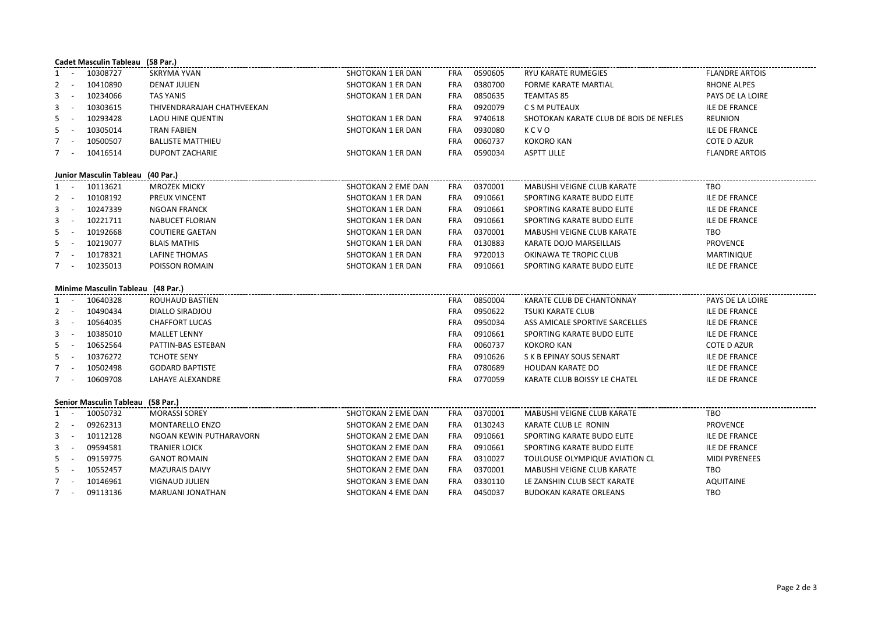| Cadet Masculin Tableau (58 Par.)  |                                   |          |                            |                    |            |         |                                        |                       |  |  |
|-----------------------------------|-----------------------------------|----------|----------------------------|--------------------|------------|---------|----------------------------------------|-----------------------|--|--|
| 1                                 |                                   | 10308727 | <b>SKRYMA YVAN</b>         | SHOTOKAN 1 ER DAN  | FRA        | 0590605 | RYU KARATE RUMEGIES                    | <b>FLANDRE ARTOIS</b> |  |  |
| 2                                 | $\overline{\phantom{a}}$          | 10410890 | <b>DENAT JULIEN</b>        | SHOTOKAN 1 ER DAN  | <b>FRA</b> | 0380700 | FORME KARATE MARTIAL                   | <b>RHONE ALPES</b>    |  |  |
| 3                                 | $\overline{\phantom{a}}$          | 10234066 | <b>TAS YANIS</b>           | SHOTOKAN 1 ER DAN  | <b>FRA</b> | 0850635 | <b>TEAMTAS 85</b>                      | PAYS DE LA LOIRE      |  |  |
| 3                                 |                                   | 10303615 | THIVENDRARAJAH CHATHVEEKAN |                    | <b>FRA</b> | 0920079 | C S M PUTEAUX                          | ILE DE FRANCE         |  |  |
| 5                                 |                                   | 10293428 | LAOU HINE QUENTIN          | SHOTOKAN 1 ER DAN  | <b>FRA</b> | 9740618 | SHOTOKAN KARATE CLUB DE BOIS DE NEFLES | <b>REUNION</b>        |  |  |
| 5                                 |                                   | 10305014 | <b>TRAN FABIEN</b>         | SHOTOKAN 1 ER DAN  | <b>FRA</b> | 0930080 | KCVO                                   | <b>ILE DE FRANCE</b>  |  |  |
| $\overline{7}$                    |                                   | 10500507 | <b>BALLISTE MATTHIEU</b>   |                    | <b>FRA</b> | 0060737 | <b>KOKORO KAN</b>                      | <b>COTE D AZUR</b>    |  |  |
| $7 -$                             |                                   | 10416514 | DUPONT ZACHARIE            | SHOTOKAN 1 ER DAN  | FRA        | 0590034 | <b>ASPTT LILLE</b>                     | <b>FLANDRE ARTOIS</b> |  |  |
|                                   | Junior Masculin Tableau (40 Par.) |          |                            |                    |            |         |                                        |                       |  |  |
| 1                                 | $\sim$                            | 10113621 | <b>MROZEK MICKY</b>        | SHOTOKAN 2 EME DAN | FRA        | 0370001 | MABUSHI VEIGNE CLUB KARATE             | TBO                   |  |  |
| $\overline{2}$                    | $\sim$                            | 10108192 | PREUX VINCENT              | SHOTOKAN 1 ER DAN  | <b>FRA</b> | 0910661 | SPORTING KARATE BUDO ELITE             | ILE DE FRANCE         |  |  |
| 3                                 | $\sim$                            | 10247339 | <b>NGOAN FRANCK</b>        | SHOTOKAN 1 ER DAN  | FRA        | 0910661 | SPORTING KARATE BUDO ELITE             | ILE DE FRANCE         |  |  |
| 3                                 | $\sim$                            | 10221711 | <b>NABUCET FLORIAN</b>     | SHOTOKAN 1 ER DAN  | FRA        | 0910661 | SPORTING KARATE BUDO ELITE             | ILE DE FRANCE         |  |  |
| 5                                 | $\overline{\phantom{a}}$          | 10192668 | <b>COUTIERE GAETAN</b>     | SHOTOKAN 1 ER DAN  | <b>FRA</b> | 0370001 | MABUSHI VEIGNE CLUB KARATE             | <b>TBO</b>            |  |  |
| 5                                 |                                   | 10219077 | <b>BLAIS MATHIS</b>        | SHOTOKAN 1 ER DAN  | <b>FRA</b> | 0130883 | KARATE DOJO MARSEILLAIS                | <b>PROVENCE</b>       |  |  |
| $\overline{7}$                    |                                   | 10178321 | LAFINE THOMAS              | SHOTOKAN 1 ER DAN  | <b>FRA</b> | 9720013 | OKINAWA TE TROPIC CLUB                 | MARTINIQUE            |  |  |
|                                   | 7 -                               | 10235013 | POISSON ROMAIN             | SHOTOKAN 1 ER DAN  | <b>FRA</b> | 0910661 | SPORTING KARATE BUDO ELITE             | ILE DE FRANCE         |  |  |
|                                   | Minime Masculin Tableau (48 Par.) |          |                            |                    |            |         |                                        |                       |  |  |
| 1                                 | $\sim$                            | 10640328 | ROUHAUD BASTIEN            |                    | FRA        | 0850004 | KARATE CLUB DE CHANTONNAY              | PAYS DE LA LOIRE      |  |  |
| 2                                 |                                   | 10490434 | DIALLO SIRADJOU            |                    | FRA        | 0950622 | TSUKI KARATE CLUB                      | ILE DE FRANCE         |  |  |
| 3                                 |                                   | 10564035 | <b>CHAFFORT LUCAS</b>      |                    | <b>FRA</b> | 0950034 | ASS AMICALE SPORTIVE SARCELLES         | ILE DE FRANCE         |  |  |
| 3                                 | $\overline{\phantom{a}}$          | 10385010 | <b>MALLET LENNY</b>        |                    | FRA        | 0910661 | SPORTING KARATE BUDO ELITE             | ILE DE FRANCE         |  |  |
| 5                                 | $\overline{\phantom{a}}$          | 10652564 | PATTIN-BAS ESTEBAN         |                    | <b>FRA</b> | 0060737 | <b>KOKORO KAN</b>                      | COTE D AZUR           |  |  |
| 5                                 | $\overline{\phantom{a}}$          | 10376272 | <b>TCHOTE SENY</b>         |                    | <b>FRA</b> | 0910626 | S K B EPINAY SOUS SENART               | ILE DE FRANCE         |  |  |
| 7                                 |                                   | 10502498 | <b>GODARD BAPTISTE</b>     |                    | <b>FRA</b> | 0780689 | <b>HOUDAN KARATE DO</b>                | ILE DE FRANCE         |  |  |
| $7^{\circ}$                       | $\sim$                            | 10609708 | LAHAYE ALEXANDRE           |                    | FRA        | 0770059 | KARATE CLUB BOISSY LE CHATEL           | ILE DE FRANCE         |  |  |
| Senior Masculin Tableau (58 Par.) |                                   |          |                            |                    |            |         |                                        |                       |  |  |
| 1                                 |                                   | 10050732 | <b>MORASSI SOREY</b>       | SHOTOKAN 2 EME DAN | FRA        | 0370001 | MABUSHI VEIGNE CLUB KARATE             | TBO                   |  |  |
| $\overline{2}$                    | $\sim$                            | 09262313 | MONTARELLO ENZO            | SHOTOKAN 2 EME DAN | <b>FRA</b> | 0130243 | KARATE CLUB LE RONIN                   | <b>PROVENCE</b>       |  |  |
| 3                                 | $\sim$                            | 10112128 | NGOAN KEWIN PUTHARAVORN    | SHOTOKAN 2 EME DAN | <b>FRA</b> | 0910661 | SPORTING KARATE BUDO ELITE             | <b>ILE DE FRANCE</b>  |  |  |
| 3                                 |                                   | 09594581 | <b>TRANIER LOICK</b>       | SHOTOKAN 2 EME DAN | FRA        | 0910661 | SPORTING KARATE BUDO ELITE             | ILE DE FRANCE         |  |  |
| 5                                 |                                   | 09159775 | <b>GANOT ROMAIN</b>        | SHOTOKAN 2 EME DAN | FRA        | 0310027 | TOULOUSE OLYMPIQUE AVIATION CL         | <b>MIDI PYRENEES</b>  |  |  |
| 5                                 |                                   | 10552457 | <b>MAZURAIS DAIVY</b>      | SHOTOKAN 2 EME DAN | <b>FRA</b> | 0370001 | MABUSHI VEIGNE CLUB KARATE             | TBO                   |  |  |
| $7^{\circ}$                       |                                   | 10146961 | <b>VIGNAUD JULIEN</b>      | SHOTOKAN 3 EME DAN | FRA        | 0330110 | LE ZANSHIN CLUB SECT KARATE            | <b>AQUITAINE</b>      |  |  |
|                                   | $7 -$                             | 09113136 | MARUANI JONATHAN           | SHOTOKAN 4 EME DAN | FRA        | 0450037 | <b>BUDOKAN KARATE ORLEANS</b>          | TBO                   |  |  |